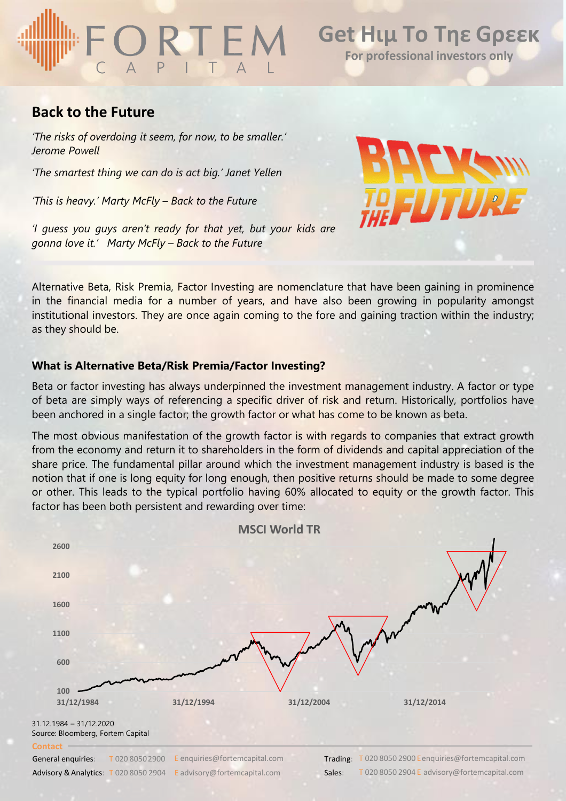## **Back to the Future**

*'The risks of overdoing it seem, for now, to be smaller.' Jerome Powell*

*'The smartest thing we can do is act big.' Janet Yellen*

*'This is heavy.' Marty McFly – Back to the Future*

*'I guess you guys aren't ready for that yet, but your kids are gonna love it.' Marty McFly – Back to the Future*

Alternative Beta, Risk Premia, Factor Investing are nomenclature that have been gaining in prominence in the financial media for a number of years, and have also been growing in popularity amongst institutional investors. They are once again coming to the fore and gaining traction within the industry; as they should be.

## **What is Alternative Beta/Risk Premia/Factor Investing?**

Beta or factor investing has always underpinned the investment management industry. A factor or type of beta are simply ways of referencing a specific driver of risk and return. Historically, portfolios have been anchored in a single factor; the growth factor or what has come to be known as beta.

The most obvious manifestation of the growth factor is with regards to companies that extract growth from the economy and return it to shareholders in the form of dividends and capital appreciation of the share price. The fundamental pillar around which the investment management industry is based is the notion that if one is long equity for long enough, then positive returns should be made to some degree or other. This leads to the typical portfolio having 60% allocated to equity or the growth factor. This factor has been both persistent and rewarding over time:

|                                       |                               | <b>MSCI World TR</b> |                                              |
|---------------------------------------|-------------------------------|----------------------|----------------------------------------------|
| 2600                                  |                               |                      |                                              |
| 2100                                  |                               |                      |                                              |
| 1600                                  |                               |                      |                                              |
|                                       |                               |                      |                                              |
| 1100                                  |                               |                      |                                              |
| 600                                   |                               |                      |                                              |
| 100                                   |                               |                      |                                              |
| 31/12/1984                            | 31/12/1994                    | 31/12/2004           | 31/12/2014                                   |
| 31.12.1984 - 31/12.2020               |                               |                      |                                              |
| Source: Bloomberg, Fortem Capital     |                               |                      |                                              |
| <b>Contact</b>                        |                               |                      |                                              |
| General enquiries:<br>T 020 8050 2900 | E enquiries@fortemcapital.com | Trading:             | T 020 8050 2900 Eenquiries@fortemcapital.com |
| Advisory & Analytics: T 020 8050 2904 | E advisory@fortemcapital.com  | Sales:               | T 020 8050 2904 E advisory@fortemcapital.com |



# **Get Ηιμ Το Τηε Gρεεκ**

**For professional investors only**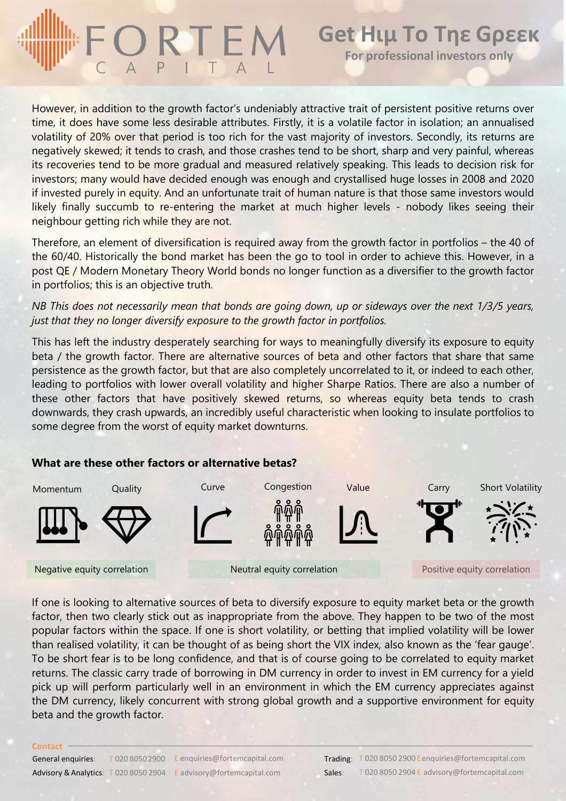However, in addition to the growth factor's undeniably attractive trait of persistent positive returns over time, it does have some less desirable attributes. Firstly, it is a volatile factor in isolation; an annualised volatility of 20% over that period is too rich for the vast majority of investors. Secondly, its returns are negatively skewed; it tends to crash, and those crashes tend to be short, sharp and very painful, whereas its recoveries tend to be more gradual and measured relatively speaking. This leads to decision risk for investors; many would have decided enough was enough and crystallised huge losses in 2008 and 2020 if invested purely in equity. And an unfortunate trait of human nature is that those same investors would likely finally succumb to re-entering the market at much higher levels - nobody likes seeing their neighbour getting rich while they are not.

Therefore, an element of diversification is required away from the growth factor in portfolios – the 40 of the 60/40. Historically the bond market has been the go to tool in order to achieve this. However, in a post QE / Modern Monetary Theory World bonds no longer function as a diversifier to the growth factor in portfolios; this is an objective truth.

NB This does not necessarily mean that bonds are going down, up or sideways over the next 1/3/5 years, *just that they no longer diversify exposure to the growth factor in portfolios.*

This has left the industry desperately searching for ways to meaningfully diversify its exposure to equity beta / the growth factor. There are alternative sources of beta and other factors that share that same persistence as the growth factor, but that are also completely uncorrelated to it, or indeed to each other, leading to portfolios with lower overall volatility and higher Sharpe Ratios. There are also a number of these other factors that have positively skewed returns, so whereas equity beta tends to crash downwards, they crash upwards, an incredibly useful characteristic when looking to insulate portfolios to some degree from the worst of equity market downturns.

## **What are these other factors or alternative betas?**



If one is looking to alternative sources of beta to diversify exposure to equity market beta or the growth factor, then two clearly stick out as inappropriate from the above. They happen to be two of the most popular factors within the space. If one is short volatility, or betting that implied volatility will be lower than realised volatility, it can be thought of as being short the VIX index, also known as the 'fear gauge'. To be short fear is to be long confidence, and that is of course going to be correlated to equity market returns. The classic carry trade of borrowing in DM currency in order to invest in EM currency for a yield pick up will perform particularly well in an environment in which the EM currency appreciates against the DM currency, likely concurrent with strong global growth and a supportive environment for equity beta and the growth factor.

#### **Contact**

General enquiries: Advisory & Analytics: T 020 8050 2904 E advisory@fortemcapital.com Sales:

T 020 8050 2900 E enquiries@fortemcapital.com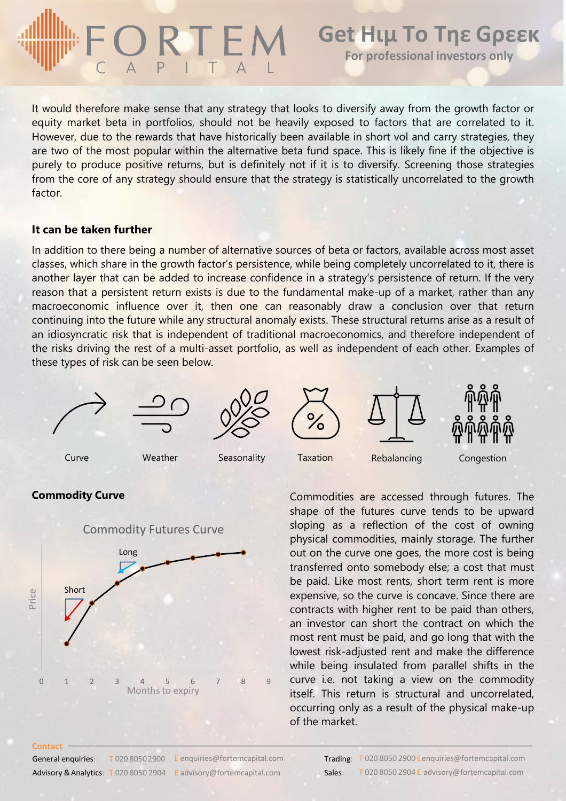It would therefore make sense that any strategy that looks to diversify away from the growth factor or equity market beta in portfolios, should not be heavily exposed to factors that are correlated to it. However, due to the rewards that have historically been available in short vol and carry strategies, they are two of the most popular within the alternative beta fund space. This is likely fine if the objective is purely to produce positive returns, but is definitely not if it is to diversify. Screening those strategies from the core of any strategy should ensure that the strategy is statistically uncorrelated to the growth factor.

#### **It can be taken further**

In addition to there being a number of alternative sources of beta or factors, available across most asset classes, which share in the growth factor's persistence, while being completely uncorrelated to it, there is another layer that can be added to increase confidence in a strategy's persistence of return. If the very reason that a persistent return exists is due to the fundamental make-up of a market, rather than any macroeconomic influence over it, then one can reasonably draw a conclusion over that return continuing into the future while any structural anomaly exists. These structural returns arise as a result of an idiosyncratic risk that is independent of traditional macroeconomics, and therefore independent of the risks driving the rest of a multi-asset portfolio, as well as independent of each other. Examples of these types of risk can be seen below.













Curve Weather Seasonality Taxation Rebalancing Congestion

## **Commodity Curve**



Commodities are accessed through futures. The shape of the futures curve tends to be upward sloping as a reflection of the cost of owning physical commodities, mainly storage. The further out on the curve one goes, the more cost is being transferred onto somebody else; a cost that must be paid. Like most rents, short term rent is more expensive, so the curve is concave. Since there are contracts with higher rent to be paid than others, an investor can short the contract on which the most rent must be paid, and go long that with the lowest risk-adjusted rent and make the difference while being insulated from parallel shifts in the curve i.e. not taking a view on the commodity itself. This return is structural and uncorrelated, occurring only as a result of the physical make-up of the market.

#### **Contact**

General enquiries: Advisory & Analytics: T 020 8050 2904 E advisory@fortemcapital.com Sales: T 020 8050 2900 E enquiries@fortemcapital.com

**Trading:** T 020 8050 2900 Eenquiries@fortemcapital.com T 020 8050 2904 E advisory@fortemcapital.com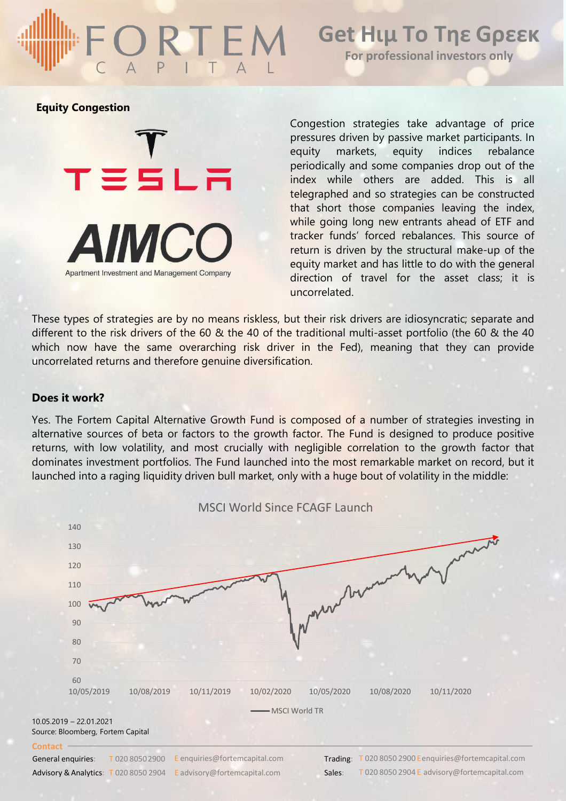# JRTEM

**Equity Congestion**

TESLA IV I Apartment Investment and Management Company Congestion strategies take advantage of price pressures driven by passive market participants. In equity markets, equity indices rebalance periodically and some companies drop out of the index while others are added. This is all telegraphed and so strategies can be constructed that short those companies leaving the index, while going long new entrants ahead of ETF and tracker funds' forced rebalances. This source of return is driven by the structural make-up of the equity market and has little to do with the general direction of travel for the asset class; it is uncorrelated.

These types of strategies are by no means riskless, but their risk drivers are idiosyncratic; separate and different to the risk drivers of the 60 & the 40 of the traditional multi-asset portfolio (the 60 & the 40 which now have the same overarching risk driver in the Fed), meaning that they can provide uncorrelated returns and therefore genuine diversification.

#### **Does it work?**

Yes. The Fortem Capital Alternative Growth Fund is composed of a number of strategies investing in alternative sources of beta or factors to the growth factor. The Fund is designed to produce positive returns, with low volatility, and most crucially with negligible correlation to the growth factor that dominates investment portfolios. The Fund launched into the most remarkable market on record, but it launched into a raging liquidity driven bull market, only with a huge bout of volatility in the middle: